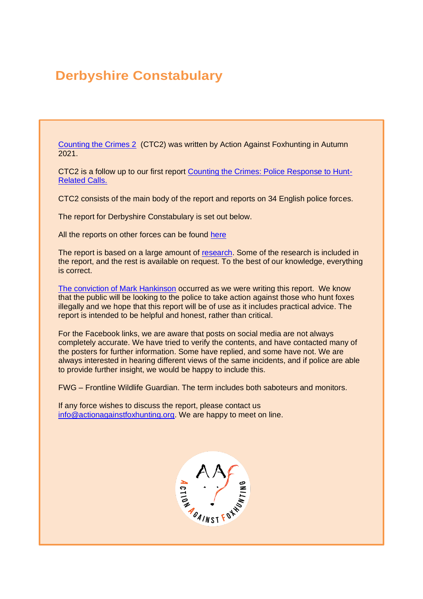# **Derbyshire Constabulary**

[Counting the Crimes 2](https://www.actionagainstfoxhunting.org/counting-the-crimes2-the-police-response/) (CTC2) was written by Action Against Foxhunting in Autumn 2021.

CTC2 is a follow up to our first report [Counting the Crimes: Police Response to Hunt-](https://www.actionagainstfoxhunting.org/counting-the-crimes/)[Related Calls.](https://www.actionagainstfoxhunting.org/counting-the-crimes/)

CTC2 consists of the main body of the report and reports on 34 English police forces.

The report for Derbyshire Constabulary is set out below.

All the reports on other forces can be found [here](https://www.actionagainstfoxhunting.org/counting-the-crimes2-the-police-response/)

The report is based on a large amount of [research.](https://www.actionagainstfoxhunting.org/wp-content/uploads/2021/11/A-1411-Research-for-CTC2.pdf) Some of the research is included in the report, and the rest is available on request. To the best of our knowledge, everything is correct.

[The conviction of Mark Hankinson](https://www.league.org.uk/news-and-resources/news/hunting-office-webinars-the-road-to-conviction/) occurred as we were writing this report. We know that the public will be looking to the police to take action against those who hunt foxes illegally and we hope that this report will be of use as it includes practical advice. The report is intended to be helpful and honest, rather than critical.

For the Facebook links, we are aware that posts on social media are not always completely accurate. We have tried to verify the contents, and have contacted many of the posters for further information. Some have replied, and some have not. We are always interested in hearing different views of the same incidents, and if police are able to provide further insight, we would be happy to include this.

FWG – Frontline Wildlife Guardian. The term includes both saboteurs and monitors.

If any force wishes to discuss the report, please contact us [info@actionagainstfoxhunting.org.](mailto:info@actionagainstfoxhunting.org) We are happy to meet on line.

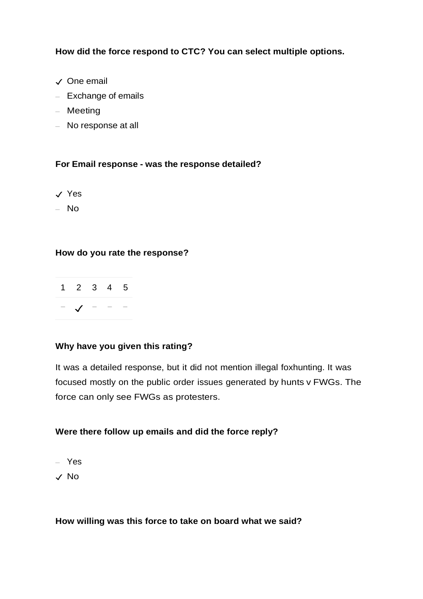**How did the force respond to CTC? You can select multiple options.**

- ✓ One email
- Exchange of emails
- Meeting
- No response at all

#### **For Email response - was the response detailed?**

- ✓ Yes
- No

#### **How do you rate the response?**



#### **Why have you given this rating?**

It was a detailed response, but it did not mention illegal foxhunting. It was focused mostly on the public order issues generated by hunts v FWGs. The force can only see FWGs as protesters.

#### **Were there follow up emails and did the force reply?**

- Yes
- ✓ No

**How willing was this force to take on board what we said?**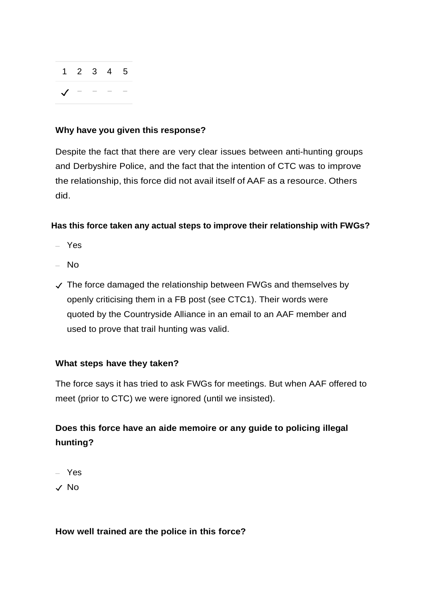|  |                  | $1\quad 2\quad 3\quad 4\quad 5$ |
|--|------------------|---------------------------------|
|  | $\sqrt{ }$ - - - |                                 |

#### **Why have you given this response?**

Despite the fact that there are very clear issues between anti-hunting groups and Derbyshire Police, and the fact that the intention of CTC was to improve the relationship, this force did not avail itself of AAF as a resource. Others did.

#### **Has this force taken any actual steps to improve their relationship with FWGs?**

- Yes
- No
- $\sqrt{\ }$  The force damaged the relationship between FWGs and themselves by openly criticising them in a FB post (see CTC1). Their words were quoted by the Countryside Alliance in an email to an AAF member and used to prove that trail hunting was valid.

#### **What steps have they taken?**

The force says it has tried to ask FWGs for meetings. But when AAF offered to meet (prior to CTC) we were ignored (until we insisted).

### **Does this force have an aide memoire or any guide to policing illegal hunting?**

– Yes

✓ No

#### **How well trained are the police in this force?**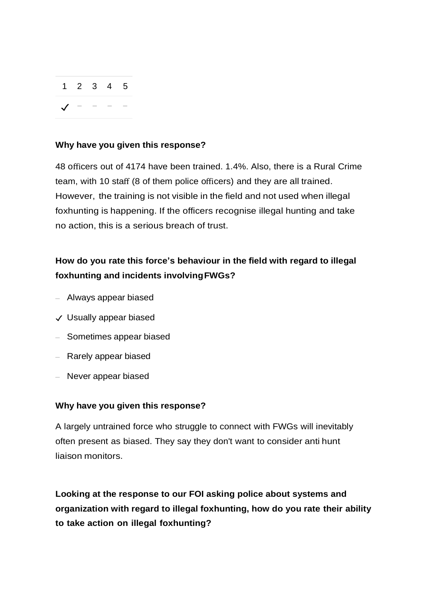

#### **Why have you given this response?**

48 officers out of 4174 have been trained. 1.4%. Also, there is a Rural Crime team, with 10 staff (8 of them police officers) and they are all trained. However, the training is not visible in the field and not used when illegal foxhunting is happening. If the officers recognise illegal hunting and take no action, this is a serious breach of trust.

### **How do you rate this force's behaviour in the field with regard to illegal foxhunting and incidents involvingFWGs?**

- Always appear biased
- ✓ Usually appear biased
- Sometimes appear biased
- Rarely appear biased
- Never appear biased

#### **Why have you given this response?**

A largely untrained force who struggle to connect with FWGs will inevitably often present as biased. They say they don't want to consider anti hunt liaison monitors.

**Looking at the response to our FOI asking police about systems and organization with regard to illegal foxhunting, how do you rate their ability to take action on illegal foxhunting?**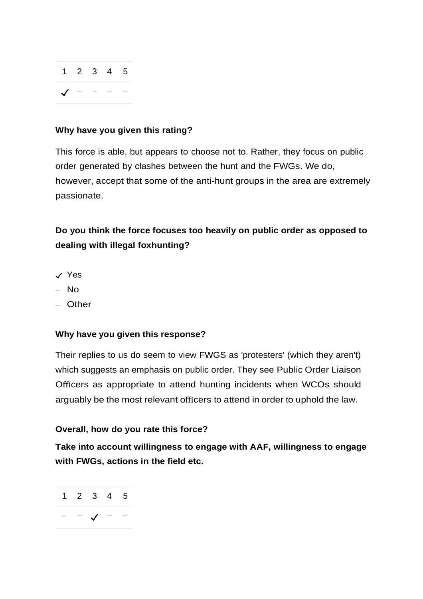| $1\quad 2\quad 3\quad 4\quad 5$ |                  |  |
|---------------------------------|------------------|--|
|                                 | $\sqrt{ }$ - - - |  |

#### **Why have you given this rating?**

This force is able, but appears to choose not to. Rather, they focus on public order generated by clashes between the hunt and the FWGs. We do, however, accept that some of the anti-hunt groups in the area are extremely passionate.

### **Do you think the force focuses too heavily on public order as opposed to dealing with illegal foxhunting?**

- ✓ Yes
- No
- Other

#### **Why have you given this response?**

Their replies to us do seem to view FWGS as 'protesters' (which they aren't) which suggests an emphasis on public order. They see Public Order Liaison Officers as appropriate to attend hunting incidents when WCOs should arguably be the most relevant officers to attend in order to uphold the law.

#### **Overall, how do you rate this force?**

**Take into account willingness to engage with AAF, willingness to engage with FWGs, actions in the field etc.**

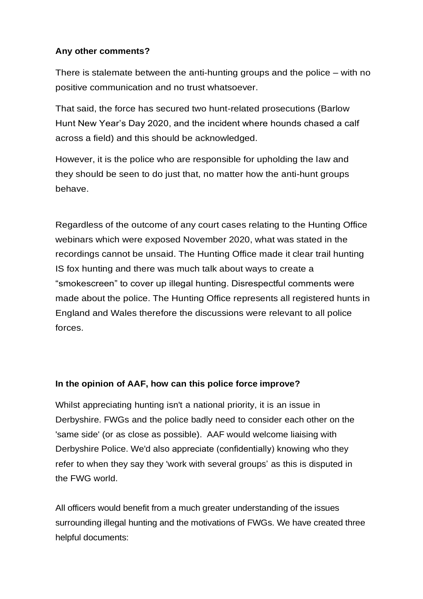#### **Any other comments?**

There is stalemate between the anti-hunting groups and the police – with no positive communication and no trust whatsoever.

That said, the force has secured two hunt-related prosecutions (Barlow Hunt New Year's Day 2020, and the incident where hounds chased a calf across a field) and this should be acknowledged.

However, it is the police who are responsible for upholding the law and they should be seen to do just that, no matter how the anti-hunt groups behave.

Regardless of the outcome of any court cases relating to the Hunting Office webinars which were exposed November 2020, what was stated in the recordings cannot be unsaid. The Hunting Office made it clear trail hunting IS fox hunting and there was much talk about ways to create a "smokescreen" to cover up illegal hunting. Disrespectful comments were made about the police. The Hunting Office represents all registered hunts in England and Wales therefore the discussions were relevant to all police forces.

#### **In the opinion of AAF, how can this police force improve?**

Whilst appreciating hunting isn't a national priority, it is an issue in Derbyshire. FWGs and the police badly need to consider each other on the 'same side' (or as close as possible). AAF would welcome liaising with Derbyshire Police. We'd also appreciate (confidentially) knowing who they refer to when they say they 'work with several groups' as this is disputed in the FWG world.

All officers would benefit from a much greater understanding of the issues surrounding illegal hunting and the motivations of FWGs. We have created three helpful documents: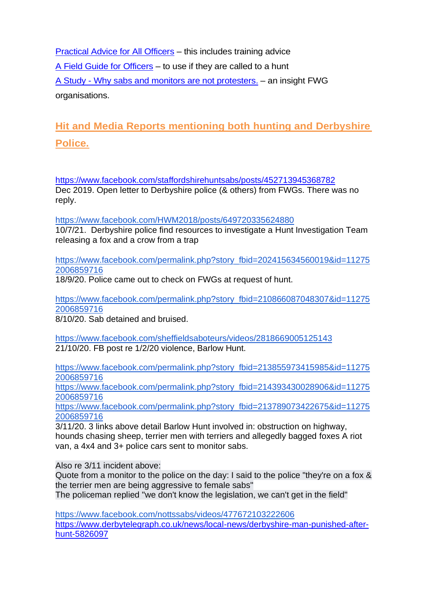[Practical Advice for All Officers](https://www.actionagainstfoxhunting.org/wp-content/uploads/2021/11/B-1411-Practical-Advice-for-all-Police-Forces.pdf) – this includes training advice [A Field Guide for Officers](https://www.actionagainstfoxhunting.org/wp-content/uploads/2021/11/A-1411-FIELD-GUIDE-ILLEGAL-FOXHUNTING.pdf) – to use if they are called to a hunt A Study - [Why sabs and monitors are not protesters.](https://www.actionagainstfoxhunting.org/wp-content/uploads/2021/11/A-1411-Why-sabs-and-monitors-arent-protesters.pdf) – an insight FWG organisations.

## **Hit and Media Reports mentioning both hunting and Derbyshire Police.**

<https://www.facebook.com/staffordshirehuntsabs/posts/452713945368782> Dec 2019. Open letter to Derbyshire police (& others) from FWGs. There was no reply.

<https://www.facebook.com/HWM2018/posts/649720335624880>

10/7/21. Derbyshire police find resources to investigate a Hunt Investigation Team releasing a fox and a crow from a trap

[https://www.facebook.com/permalink.php?story\\_fbid=202415634560019&id=11275](https://www.facebook.com/permalink.php?story_fbid=202415634560019&id=112752006859716) [2006859716](https://www.facebook.com/permalink.php?story_fbid=202415634560019&id=112752006859716)

18/9/20. Police came out to check on FWGs at request of hunt.

[https://www.facebook.com/permalink.php?story\\_fbid=210866087048307&id=11275](https://www.facebook.com/permalink.php?story_fbid=210866087048307&id=112752006859716) [2006859716](https://www.facebook.com/permalink.php?story_fbid=210866087048307&id=112752006859716)

8/10/20. Sab detained and bruised.

<https://www.facebook.com/sheffieldsaboteurs/videos/2818669005125143> 21/10/20. FB post re 1/2/20 violence, Barlow Hunt.

[https://www.facebook.com/permalink.php?story\\_fbid=213855973415985&id=11275](https://www.facebook.com/permalink.php?story_fbid=213855973415985&id=112752006859716) [2006859716](https://www.facebook.com/permalink.php?story_fbid=213855973415985&id=112752006859716)

[https://www.facebook.com/permalink.php?story\\_fbid=214393430028906&id=11275](https://www.facebook.com/permalink.php?story_fbid=214393430028906&id=112752006859716) [2006859716](https://www.facebook.com/permalink.php?story_fbid=214393430028906&id=112752006859716)

[https://www.facebook.com/permalink.php?story\\_fbid=213789073422675&id=11275](https://www.facebook.com/permalink.php?story_fbid=213789073422675&id=112752006859716) [2006859716](https://www.facebook.com/permalink.php?story_fbid=213789073422675&id=112752006859716)

3/11/20. 3 links above detail Barlow Hunt involved in: obstruction on highway, hounds chasing sheep, terrier men with terriers and allegedly bagged foxes A riot van, a 4x4 and 3+ police cars sent to monitor sabs.

Also re 3/11 incident above:

Quote from a monitor to the police on the day: I said to the police "they're on a fox & the terrier men are being aggressive to female sabs"

The policeman replied "we don't know the legislation, we can't get in the field"

<https://www.facebook.com/nottssabs/videos/477672103222606> [https://www.derbytelegraph.co.uk/news/local-news/derbyshire-man-punished-after](https://www.derbytelegraph.co.uk/news/local-news/derbyshire-man-punished-after-hunt-5826097)[hunt-5826097](https://www.derbytelegraph.co.uk/news/local-news/derbyshire-man-punished-after-hunt-5826097)